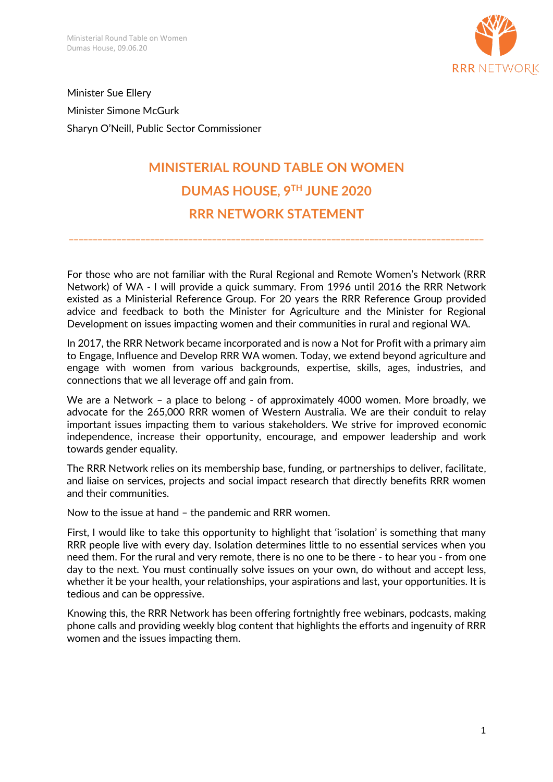

Minister Sue Ellery Minister Simone McGurk Sharyn O'Neill, Public Sector Commissioner

## **MINISTERIAL ROUND TABLE ON WOMEN DUMAS HOUSE, 9TH JUNE 2020 RRR NETWORK STATEMENT**

**\_\_\_\_\_\_\_\_\_\_\_\_\_\_\_\_\_\_\_\_\_\_\_\_\_\_\_\_\_\_\_\_\_\_\_\_\_\_\_\_\_\_\_\_\_\_\_\_\_\_\_\_\_\_\_\_\_\_\_\_\_\_\_\_\_\_\_\_\_\_\_\_\_\_\_\_\_\_\_\_\_\_\_\_\_\_\_**

For those who are not familiar with the Rural Regional and Remote Women's Network (RRR Network) of WA - I will provide a quick summary. From 1996 until 2016 the RRR Network existed as a Ministerial Reference Group. For 20 years the RRR Reference Group provided advice and feedback to both the Minister for Agriculture and the Minister for Regional Development on issues impacting women and their communities in rural and regional WA.

In 2017, the RRR Network became incorporated and is now a Not for Profit with a primary aim to Engage, Influence and Develop RRR WA women. Today, we extend beyond agriculture and engage with women from various backgrounds, expertise, skills, ages, industries, and connections that we all leverage off and gain from.

We are a Network – a place to belong - of approximately 4000 women. More broadly, we advocate for the 265,000 RRR women of Western Australia. We are their conduit to relay important issues impacting them to various stakeholders. We strive for improved economic independence, increase their opportunity, encourage, and empower leadership and work towards gender equality.

The RRR Network relies on its membership base, funding, or partnerships to deliver, facilitate, and liaise on services, projects and social impact research that directly benefits RRR women and their communities.

Now to the issue at hand – the pandemic and RRR women.

First, I would like to take this opportunity to highlight that 'isolation' is something that many RRR people live with every day. Isolation determines little to no essential services when you need them. For the rural and very remote, there is no one to be there - to hear you - from one day to the next. You must continually solve issues on your own, do without and accept less, whether it be your health, your relationships, your aspirations and last, your opportunities. It is tedious and can be oppressive.

Knowing this, the RRR Network has been offering fortnightly free webinars, podcasts, making phone calls and providing weekly blog content that highlights the efforts and ingenuity of RRR women and the issues impacting them.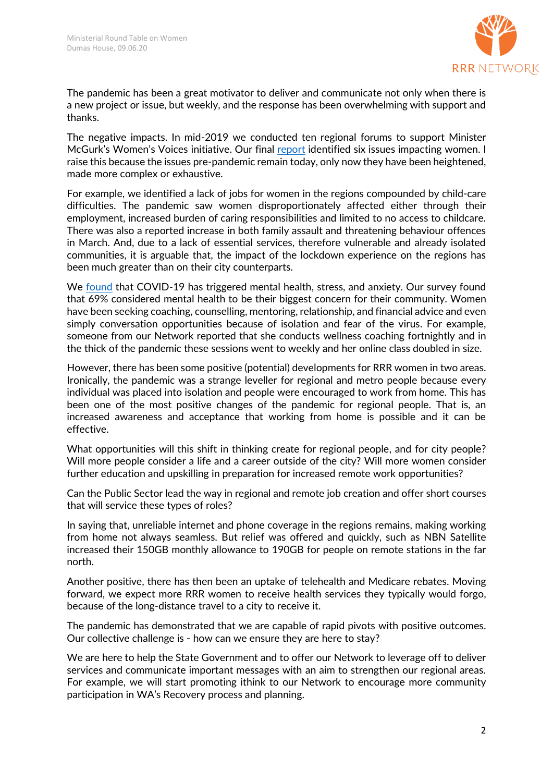

The pandemic has been a great motivator to deliver and communicate not only when there is a new project or issue, but weekly, and the response has been overwhelming with support and thanks.

The negative impacts. In mid-2019 we conducted ten regional forums to support Minister McGurk's Women's Voices initiative. Our final [report](https://www.rrrnetwork.com.au/wp-content/uploads/2019/10/Womens-Voices-Report-.pdf) identified six issues impacting women. I raise this because the issues pre-pandemic remain today, only now they have been heightened, made more complex or exhaustive.

For example, we identified a lack of jobs for women in the regions compounded by child-care difficulties. The pandemic saw women disproportionately affected either through their employment, increased burden of caring responsibilities and limited to no access to childcare. There was also a reported increase in both family assault and threatening behaviour offences in March. And, due to a lack of essential services, therefore vulnerable and already isolated communities, it is arguable that, the impact of the lockdown experience on the regions has been much greater than on their city counterparts.

We [found](https://www.rrrnetwork.com.au/wp-content/uploads/2020/05/COVID-19-Survey-Report.pdf) that COVID-19 has triggered mental health, stress, and anxiety. Our survey found that 69% considered mental health to be their biggest concern for their community. Women have been seeking coaching, counselling, mentoring, relationship, and financial advice and even simply conversation opportunities because of isolation and fear of the virus. For example, someone from our Network reported that she conducts wellness coaching fortnightly and in the thick of the pandemic these sessions went to weekly and her online class doubled in size.

However, there has been some positive (potential) developments for RRR women in two areas. Ironically, the pandemic was a strange leveller for regional and metro people because every individual was placed into isolation and people were encouraged to work from home. This has been one of the most positive changes of the pandemic for regional people. That is, an increased awareness and acceptance that working from home is possible and it can be effective.

What opportunities will this shift in thinking create for regional people, and for city people? Will more people consider a life and a career outside of the city? Will more women consider further education and upskilling in preparation for increased remote work opportunities?

Can the Public Sector lead the way in regional and remote job creation and offer short courses that will service these types of roles?

In saying that, unreliable internet and phone coverage in the regions remains, making working from home not always seamless. But relief was offered and quickly, such as NBN Satellite increased their 150GB monthly allowance to 190GB for people on remote stations in the far north.

Another positive, there has then been an uptake of telehealth and Medicare rebates. Moving forward, we expect more RRR women to receive health services they typically would forgo, because of the long-distance travel to a city to receive it.

The pandemic has demonstrated that we are capable of rapid pivots with positive outcomes. Our collective challenge is - how can we ensure they are here to stay?

We are here to help the State Government and to offer our Network to leverage off to deliver services and communicate important messages with an aim to strengthen our regional areas. For example, we will start promoting ithink to our Network to encourage more community participation in WA's Recovery process and planning.